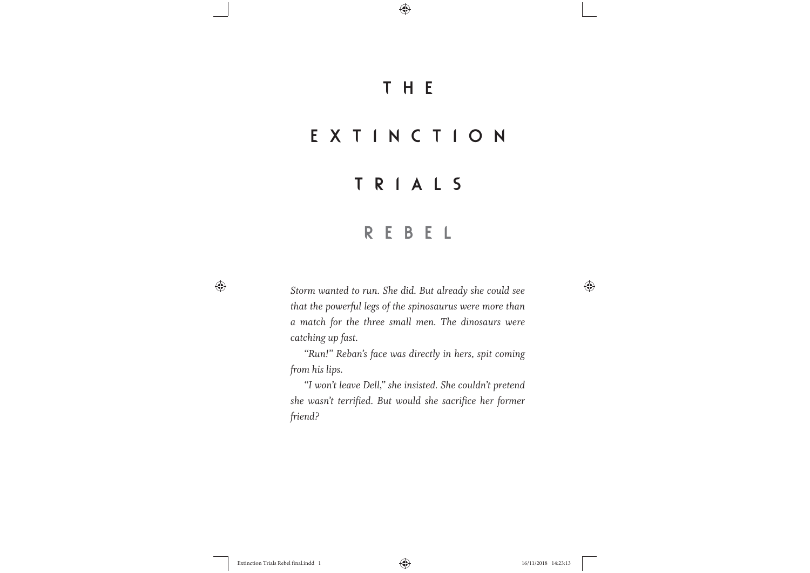## THEEXTINCTIONTRIALS REBEL

*Storm wanted to run. She did. But already she could see that the powerful legs of the spinosaurus were more than a match for the three small men. The dinosaurs were catching up fast.*

*"Run!" Reban's face was directly in hers, spit coming from his lips.*

*"I won't leave Dell," she insisted. She couldn't pretend she wasn't terrified. But would she sacrifice her former friend?*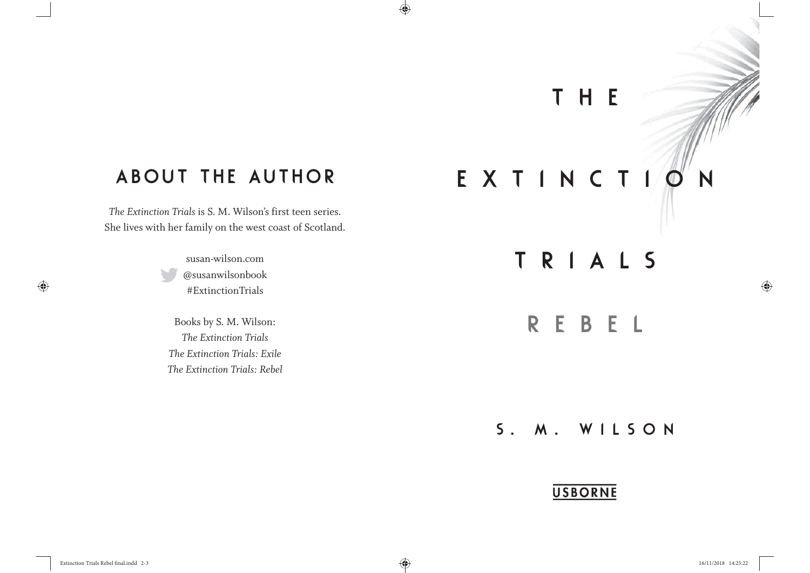## ABOUT THE AUTHOR

*The Extinction Trials* is S. M. Wilson's first teen series. She lives with her family on the west coast of Scotland.

> susan-wilson.com@susanwilsonbook #ExtinctionTrials

Books by S. M. Wilson: *The Extinction Trials The Extinction Trials: Exile The Extinction Trials: Rebel* E x t i n c t i o n Trials rebel S. M. Wilson

T H E

## **USBORNE**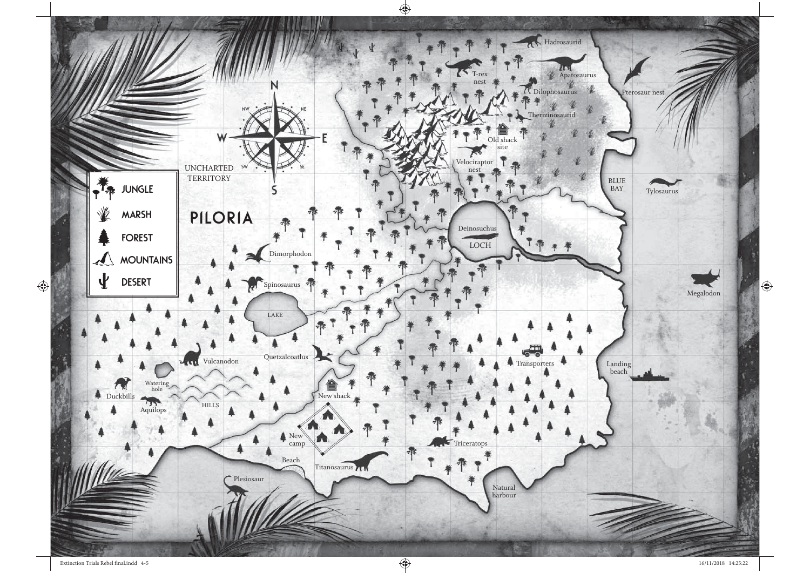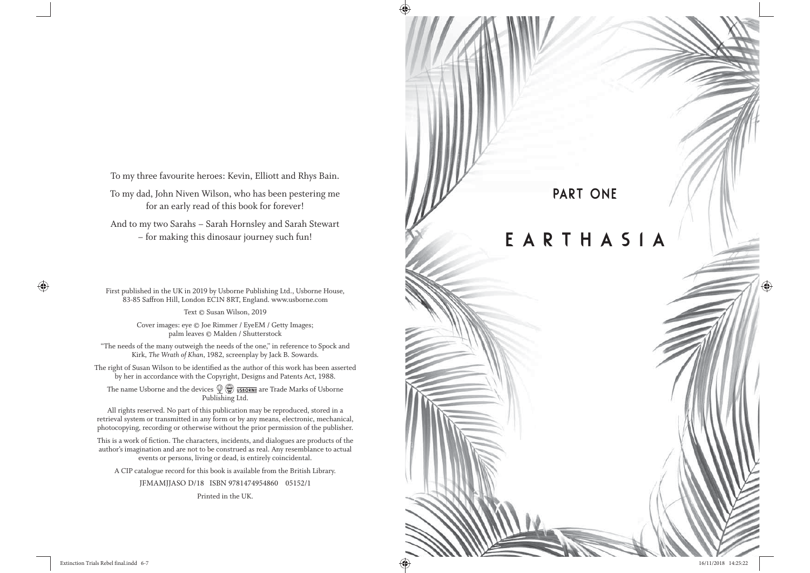To my three favourite heroes: Kevin, Elliott and Rhys Bain.

To my dad, John Niven Wilson, who has been pestering me for an early read of this book for forever!

And to my two Sarahs – Sarah Hornsley and Sarah Stewart – for making this dinosaur journey such fun!

First published in the UK in 2019 by Usborne Publishing Ltd., Usborne House, 83-85 Saffron Hill, London EC1N 8RT, England. www.usborne.com

Text © Susan Wilson, 2019

Cover images: eye © Joe Rimmer / EyeEM / Getty Images; palm leaves © Malden / Shutterstock

"The needs of the many outweigh the needs of the one," in reference to Spock and Kirk, *The Wrath of Khan*, 1982, screenplay by Jack B. Sowards.

The right of Susan Wilson to be identified as the author of this work has been asserted by her in accordance with the Copyright, Designs and Patents Act, 1988.

The name Usborne and the devices  $\Psi(\nabla)$  usionic are Trade Marks of Usborne Publishing Ltd.

All rights reserved. No part of this publication may be reproduced, stored in a retrieval system or transmitted in any form or by any means, electronic, mechanical, photocopying, recording or otherwise without the prior permission of the publisher.

This is a work of fiction. The characters, incidents, and dialogues are products of the author's imagination and are not to be construed as real. Any resemblance to actual events or persons, living or dead, is entirely coincidental.

A CIP catalogue record for this book is available from the British Library. JFMAMJJASO D/18 ISBN 9781474954860 05152/1 Printed in the UK.

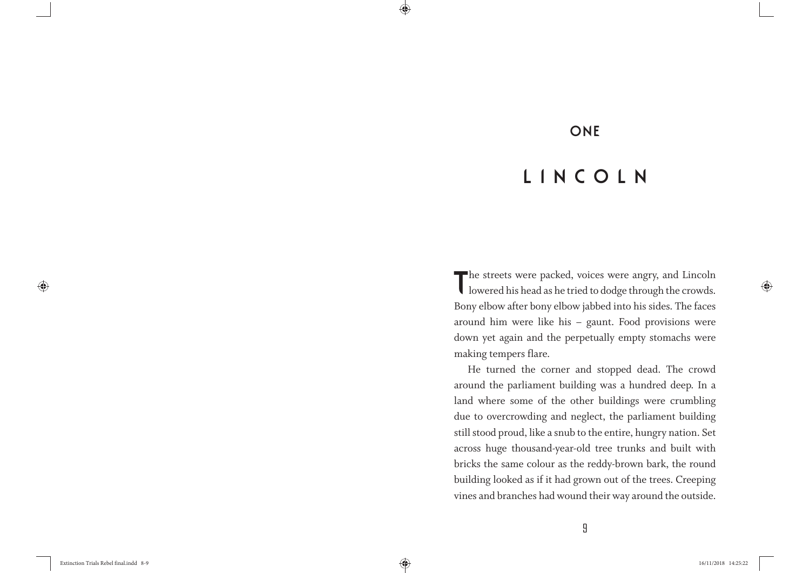## ONELINCOLN

The streets were packed, voices were angry, and Lincoln lowered his head as he tried to dodge through the crowds. Bony elbow after bony elbow jabbed into his sides. The faces around him were like his – gaunt. Food provisions were down yet again and the perpetually empty stomachs were making tempers flare.

He turned the corner and stopped dead. The crowd around the parliament building was a hundred deep. In a land where some of the other buildings were crumbling due to overcrowding and neglect, the parliament building still stood proud, like a snub to the entire, hungry nation. Set across huge thousand-year-old tree trunks and built with bricks the same colour as the reddy-brown bark, the round building looked as if it had grown out of the trees. Creeping vines and branches had wound their way around the outside.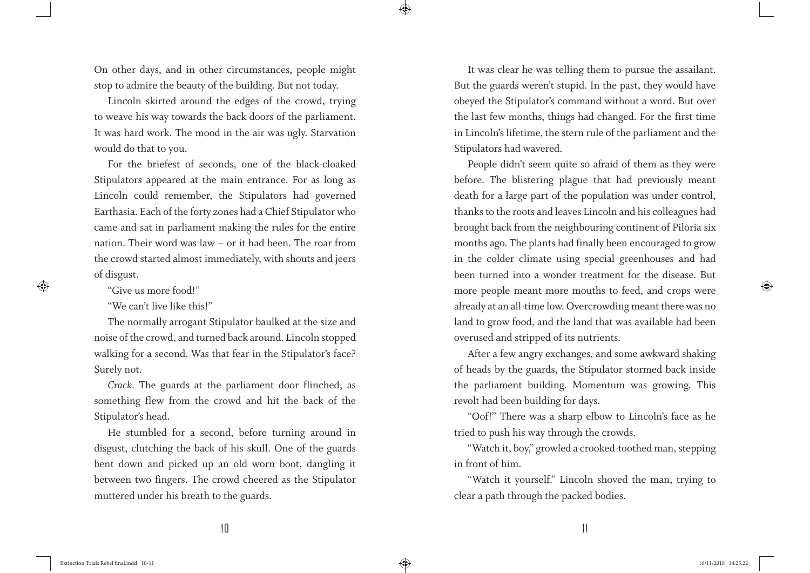On other days, and in other circumstances, people might stop to admire the beauty of the building. But not today.

Lincoln skirted around the edges of the crowd, trying to weave his way towards the back doors of the parliament. It was hard work. The mood in the air was ugly. Starvation would do that to you.

For the briefest of seconds, one of the black-cloaked Stipulators appeared at the main entrance. For as long as Lincoln could remember, the Stipulators had governed Earthasia. Each of the forty zones had a Chief Stipulator who came and sat in parliament making the rules for the entire nation. Their word was law – or it had been. The roar from the crowd started almost immediately, with shouts and jeers of disgust.

"Give us more food!"

"We can't live like this!"

The normally arrogant Stipulator baulked at the size and noise of the crowd, and turned back around. Lincoln stopped walking for a second. Was that fear in the Stipulator's face? Surely not.

*Crack.* The guards at the parliament door flinched, as something flew from the crowd and hit the back of the Stipulator's head.

He stumbled for a second, before turning around in disgust, clutching the back of his skull. One of the guards bent down and picked up an old worn boot, dangling it between two fingers. The crowd cheered as the Stipulator muttered under his breath to the guards.

It was clear he was telling them to pursue the assailant. But the guards weren't stupid. In the past, they would have obeyed the Stipulator's command without a word. But over the last few months, things had changed. For the first time in Lincoln's lifetime, the stern rule of the parliament and the Stipulators had wavered.

People didn't seem quite so afraid of them as they were before. The blistering plague that had previously meant death for a large part of the population was under control, thanks to the roots and leaves Lincoln and his colleagues had brought back from the neighbouring continent of Piloria six months ago. The plants had finally been encouraged to grow in the colder climate using special greenhouses and had been turned into a wonder treatment for the disease. But more people meant more mouths to feed, and crops were already at an all-time low. Overcrowding meant there was no land to grow food, and the land that was available had been overused and stripped of its nutrients.

After a few angry exchanges, and some awkward shaking of heads by the guards, the Stipulator stormed back inside the parliament building. Momentum was growing. This revolt had been building for days.

"Oof!" There was a sharp elbow to Lincoln's face as he tried to push his way through the crowds.

"Watch it, boy," growled a crooked-toothed man, stepping in front of him.

"Watch it yourself." Lincoln shoved the man, trying to clear a path through the packed bodies.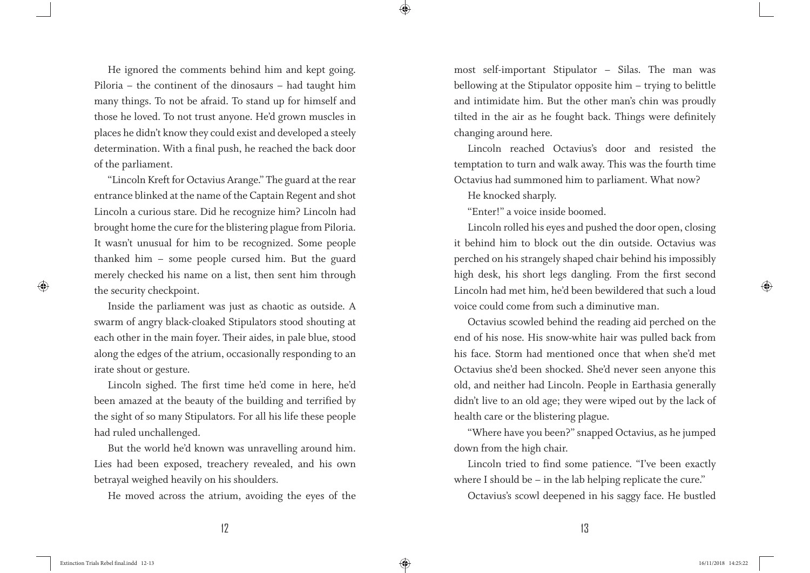He ignored the comments behind him and kept going. Piloria – the continent of the dinosaurs – had taught him many things. To not be afraid. To stand up for himself and those he loved. To not trust anyone. He'd grown muscles in places he didn't know they could exist and developed a steely determination. With a final push, he reached the back door of the parliament.

"Lincoln Kreft for Octavius Arange." The guard at the rear entrance blinked at the name of the Captain Regent and shot Lincoln a curious stare. Did he recognize him? Lincoln had brought home the cure for the blistering plague from Piloria. It wasn't unusual for him to be recognized. Some people thanked him – some people cursed him. But the guard merely checked his name on a list, then sent him through the security checkpoint.

Inside the parliament was just as chaotic as outside. A swarm of angry black-cloaked Stipulators stood shouting at each other in the main foyer. Their aides, in pale blue, stood along the edges of the atrium, occasionally responding to an irate shout or gesture.

Lincoln sighed. The first time he'd come in here, he'd been amazed at the beauty of the building and terrified by the sight of so many Stipulators. For all his life these people had ruled unchallenged.

But the world he'd known was unravelling around him. Lies had been exposed, treachery revealed, and his own betrayal weighed heavily on his shoulders.

He moved across the atrium, avoiding the eyes of the

most self-important Stipulator – Silas. The man was bellowing at the Stipulator opposite him – trying to belittle and intimidate him. But the other man's chin was proudly tilted in the air as he fought back. Things were definitely changing around here.

Lincoln reached Octavius's door and resisted the temptation to turn and walk away. This was the fourth time Octavius had summoned him to parliament. What now?

He knocked sharply.

"Enter!" a voice inside boomed.

Lincoln rolled his eyes and pushed the door open, closing it behind him to block out the din outside. Octavius was perched on his strangely shaped chair behind his impossibly high desk, his short legs dangling. From the first second Lincoln had met him, he'd been bewildered that such a loud voice could come from such a diminutive man.

Octavius scowled behind the reading aid perched on the end of his nose. His snow-white hair was pulled back from his face. Storm had mentioned once that when she'd met Octavius she'd been shocked. She'd never seen anyone this old, and neither had Lincoln. People in Earthasia generally didn't live to an old age; they were wiped out by the lack of health care or the blistering plague.

"Where have you been?" snapped Octavius, as he jumped down from the high chair.

Lincoln tried to find some patience. "I've been exactly where I should be – in the lab helping replicate the cure."

Octavius's scowl deepened in his saggy face. He bustled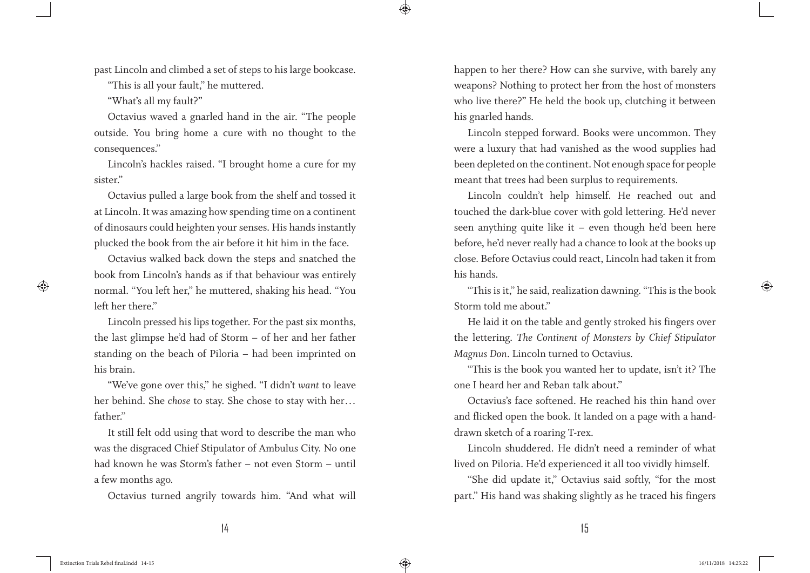past Lincoln and climbed a set of steps to his large bookcase.

"This is all your fault," he muttered.

"What's all my fault?"

Octavius waved a gnarled hand in the air. "The people outside. You bring home a cure with no thought to the consequences."

Lincoln's hackles raised. "I brought home a cure for my sister."

Octavius pulled a large book from the shelf and tossed it at Lincoln. It was amazing how spending time on a continent of dinosaurs could heighten your senses. His hands instantly plucked the book from the air before it hit him in the face.

Octavius walked back down the steps and snatched the book from Lincoln's hands as if that behaviour was entirely normal. "You left her," he muttered, shaking his head. "You left her there."

Lincoln pressed his lips together. For the past six months, the last glimpse he'd had of Storm – of her and her father standing on the beach of Piloria – had been imprinted on his brain.

"We've gone over this," he sighed. "I didn't *want* to leave her behind. She *chose* to stay. She chose to stay with her… father."

It still felt odd using that word to describe the man who was the disgraced Chief Stipulator of Ambulus City. No one had known he was Storm's father – not even Storm – until a few months ago.

Octavius turned angrily towards him. "And what will

happen to her there? How can she survive, with barely any weapons? Nothing to protect her from the host of monsters who live there?" He held the book up, clutching it between his gnarled hands.

Lincoln stepped forward. Books were uncommon. They were a luxury that had vanished as the wood supplies had been depleted on the continent. Not enough space for people meant that trees had been surplus to requirements.

Lincoln couldn't help himself. He reached out and touched the dark-blue cover with gold lettering. He'd never seen anything quite like it – even though he'd been here before, he'd never really had a chance to look at the books up close. Before Octavius could react, Lincoln had taken it from his hands.

"This is it," he said, realization dawning. "This is the book Storm told me about."

He laid it on the table and gently stroked his fingers over the lettering. *The Continent of Monsters by Chief Stipulator Magnus Don*. Lincoln turned to Octavius.

"This is the book you wanted her to update, isn't it? The one I heard her and Reban talk about."

Octavius's face softened. He reached his thin hand over and flicked open the book. It landed on a page with a handdrawn sketch of a roaring T-rex.

Lincoln shuddered. He didn't need a reminder of what lived on Piloria. He'd experienced it all too vividly himself.

"She did update it," Octavius said softly, "for the most part." His hand was shaking slightly as he traced his fingers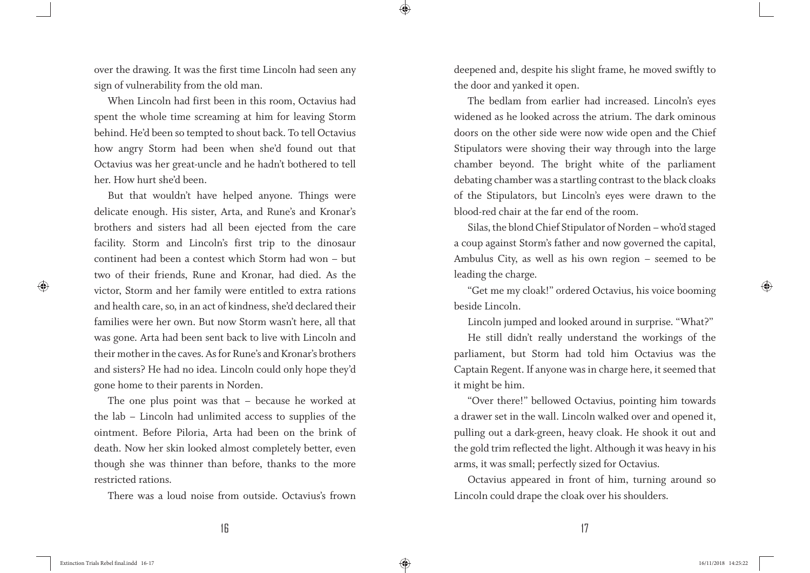over the drawing. It was the first time Lincoln had seen any sign of vulnerability from the old man.

When Lincoln had first been in this room, Octavius had spent the whole time screaming at him for leaving Storm behind. He'd been so tempted to shout back. To tell Octavius how angry Storm had been when she'd found out that Octavius was her great-uncle and he hadn't bothered to tell her. How hurt she'd been.

But that wouldn't have helped anyone. Things were delicate enough. His sister, Arta, and Rune's and Kronar's brothers and sisters had all been ejected from the care facility. Storm and Lincoln's first trip to the dinosaur continent had been a contest which Storm had won – but two of their friends, Rune and Kronar, had died. As the victor, Storm and her family were entitled to extra rations and health care, so, in an act of kindness, she'd declared their families were her own. But now Storm wasn't here, all that was gone. Arta had been sent back to live with Lincoln and their mother in the caves. As for Rune's and Kronar's brothers and sisters? He had no idea. Lincoln could only hope they'd gone home to their parents in Norden.

The one plus point was that – because he worked at the lab – Lincoln had unlimited access to supplies of the ointment. Before Piloria, Arta had been on the brink of death. Now her skin looked almost completely better, even though she was thinner than before, thanks to the more restricted rations.

There was a loud noise from outside. Octavius's frown

deepened and, despite his slight frame, he moved swiftly to the door and yanked it open.

The bedlam from earlier had increased. Lincoln's eyes widened as he looked across the atrium. The dark ominous doors on the other side were now wide open and the Chief Stipulators were shoving their way through into the large chamber beyond. The bright white of the parliament debating chamber was a startling contrast to the black cloaks of the Stipulators, but Lincoln's eyes were drawn to the blood-red chair at the far end of the room.

Silas, the blond Chief Stipulator of Norden – who'd staged a coup against Storm's father and now governed the capital, Ambulus City, as well as his own region – seemed to be leading the charge.

"Get me my cloak!" ordered Octavius, his voice booming beside Lincoln.

Lincoln jumped and looked around in surprise. "What?"

He still didn't really understand the workings of the parliament, but Storm had told him Octavius was the Captain Regent. If anyone was in charge here, it seemed that it might be him.

"Over there!" bellowed Octavius, pointing him towards a drawer set in the wall. Lincoln walked over and opened it, pulling out a dark-green, heavy cloak. He shook it out and the gold trim reflected the light. Although it was heavy in his arms, it was small; perfectly sized for Octavius.

Octavius appeared in front of him, turning around so Lincoln could drape the cloak over his shoulders.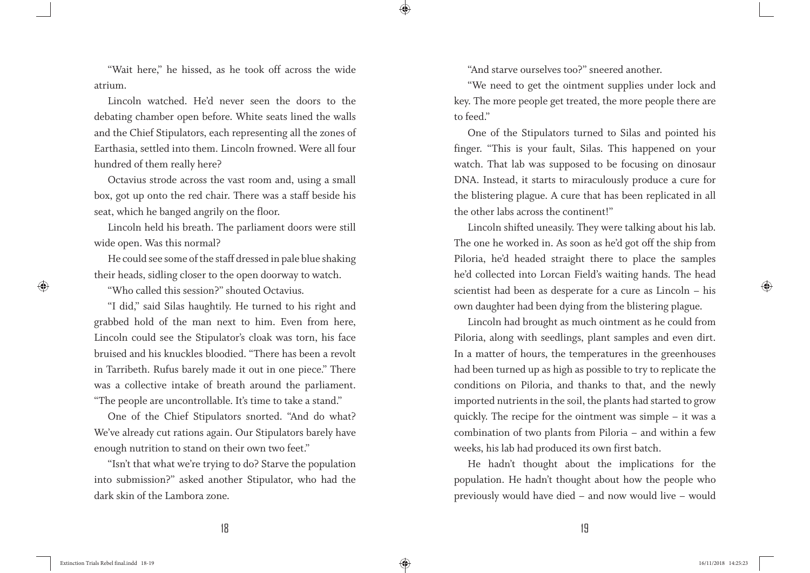"Wait here," he hissed, as he took off across the wide atrium.

Lincoln watched. He'd never seen the doors to the debating chamber open before. White seats lined the walls and the Chief Stipulators, each representing all the zones of Earthasia, settled into them. Lincoln frowned. Were all four hundred of them really here?

Octavius strode across the vast room and, using a small box, got up onto the red chair. There was a staff beside his seat, which he banged angrily on the floor.

Lincoln held his breath. The parliament doors were still wide open. Was this normal?

He could see some of the staff dressed in pale blue shaking their heads, sidling closer to the open doorway to watch.

"Who called this session?" shouted Octavius.

"I did," said Silas haughtily. He turned to his right and grabbed hold of the man next to him. Even from here, Lincoln could see the Stipulator's cloak was torn, his face bruised and his knuckles bloodied. "There has been a revolt in Tarribeth. Rufus barely made it out in one piece." There was a collective intake of breath around the parliament. "The people are uncontrollable. It's time to take a stand."

One of the Chief Stipulators snorted. "And do what? We've already cut rations again. Our Stipulators barely have enough nutrition to stand on their own two feet."

"Isn't that what we're trying to do? Starve the population into submission?" asked another Stipulator, who had the dark skin of the Lambora zone.

"And starve ourselves too?" sneered another.

"We need to get the ointment supplies under lock and key. The more people get treated, the more people there are to feed."

One of the Stipulators turned to Silas and pointed his finger. "This is your fault, Silas. This happened on your watch. That lab was supposed to be focusing on dinosaur DNA. Instead, it starts to miraculously produce a cure for the blistering plague. A cure that has been replicated in all the other labs across the continent!"

Lincoln shifted uneasily. They were talking about his lab. The one he worked in. As soon as he'd got off the ship from Piloria, he'd headed straight there to place the samples he'd collected into Lorcan Field's waiting hands. The head scientist had been as desperate for a cure as Lincoln – his own daughter had been dying from the blistering plague.

Lincoln had brought as much ointment as he could from Piloria, along with seedlings, plant samples and even dirt. In a matter of hours, the temperatures in the greenhouses had been turned up as high as possible to try to replicate the conditions on Piloria, and thanks to that, and the newly imported nutrients in the soil, the plants had started to grow quickly. The recipe for the ointment was simple – it was a combination of two plants from Piloria – and within a few weeks, his lab had produced its own first batch.

He hadn't thought about the implications for the population. He hadn't thought about how the people who previously would have died – and now would live – would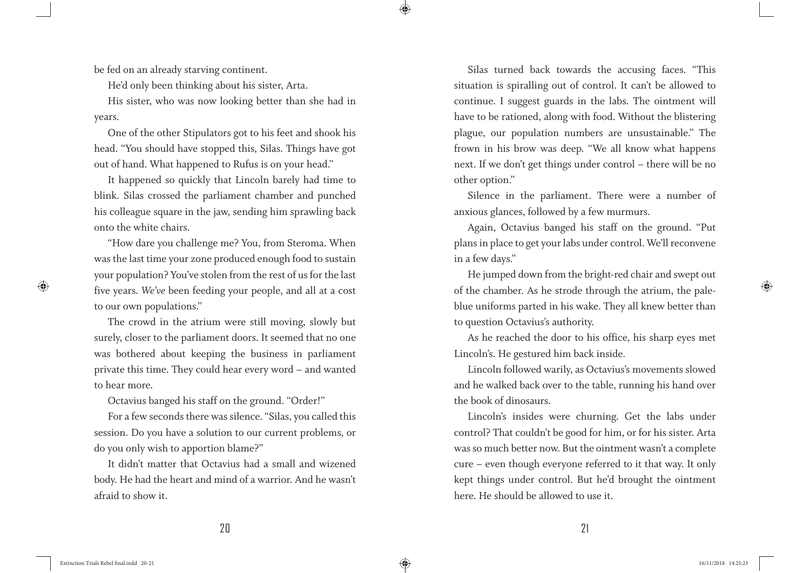be fed on an already starving continent.

He'd only been thinking about his sister, Arta.

His sister, who was now looking better than she had in years.

One of the other Stipulators got to his feet and shook his head. "You should have stopped this, Silas. Things have got out of hand. What happened to Rufus is on your head."

It happened so quickly that Lincoln barely had time to blink. Silas crossed the parliament chamber and punched his colleague square in the jaw, sending him sprawling back onto the white chairs.

"How dare you challenge me? You, from Steroma. When was the last time your zone produced enough food to sustain your population? You've stolen from the rest of us for the last five years. *We've* been feeding your people, and all at a cost to our own populations."

The crowd in the atrium were still moving, slowly but surely, closer to the parliament doors. It seemed that no one was bothered about keeping the business in parliament private this time. They could hear every word – and wanted to hear more.

Octavius banged his staff on the ground. "Order!"

For a few seconds there was silence. "Silas, you called this session. Do you have a solution to our current problems, or do you only wish to apportion blame?"

It didn't matter that Octavius had a small and wizened body. He had the heart and mind of a warrior. And he wasn't afraid to show it.

Silas turned back towards the accusing faces. "This situation is spiralling out of control. It can't be allowed to continue. I suggest guards in the labs. The ointment will have to be rationed, along with food. Without the blistering plague, our population numbers are unsustainable." The frown in his brow was deep. "We all know what happens next. If we don't get things under control – there will be no other option."

Silence in the parliament. There were a number of anxious glances, followed by a few murmurs.

Again, Octavius banged his staff on the ground. "Put plans in place to get your labs under control. We'll reconvene in a few days."

He jumped down from the bright-red chair and swept out of the chamber. As he strode through the atrium, the paleblue uniforms parted in his wake. They all knew better than to question Octavius's authority.

As he reached the door to his office, his sharp eyes met Lincoln's. He gestured him back inside.

Lincoln followed warily, as Octavius's movements slowed and he walked back over to the table, running his hand over the book of dinosaurs.

Lincoln's insides were churning. Get the labs under control? That couldn't be good for him, or for his sister. Arta was so much better now. But the ointment wasn't a complete cure – even though everyone referred to it that way. It only kept things under control. But he'd brought the ointment here. He should be allowed to use it.